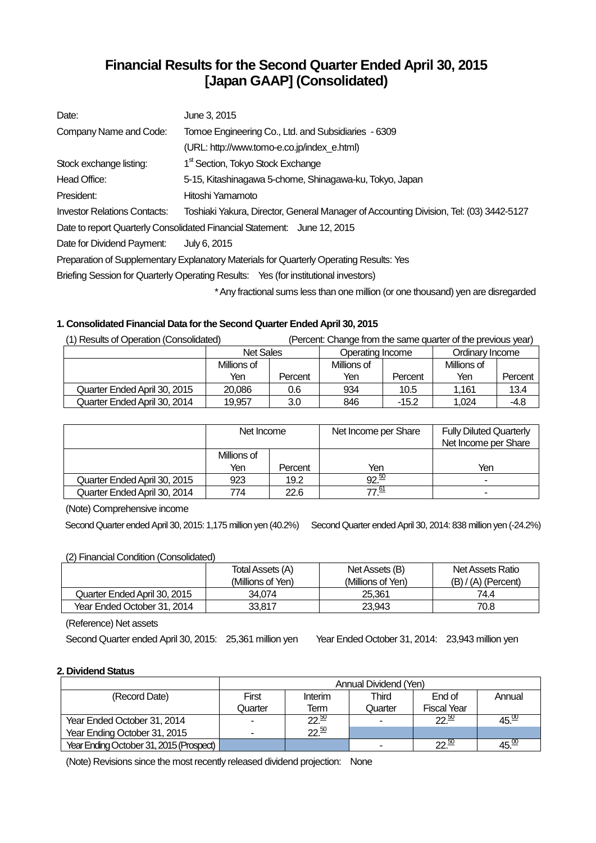# **Financial Results for the Second Quarter Ended April 30, 2015 [Japan GAAP] (Consolidated)**

| Date:                               | June 3, 2015                                                                            |
|-------------------------------------|-----------------------------------------------------------------------------------------|
| Company Name and Code:              | Tomoe Engineering Co., Ltd. and Subsidiaries - 6309                                     |
|                                     | (URL: http://www.tomo-e.co.jp/index_e.html)                                             |
| Stock exchange listing:             | 1 <sup>st</sup> Section, Tokyo Stock Exchange                                           |
| Head Office:                        | 5-15, Kitashinagawa 5-chome, Shinagawa-ku, Tokyo, Japan                                 |
| President:                          | Hitoshi Yamamoto                                                                        |
| <b>Investor Relations Contacts:</b> | Toshiaki Yakura, Director, General Manager of Accounting Division, Tel: (03) 3442-5127  |
|                                     | Date to report Quarterly Consolidated Financial Statement: June 12, 2015                |
| Date for Dividend Payment:          | July 6, 2015                                                                            |
|                                     | Preparation of Supplementary Explanatory Materials for Quarterly Operating Results: Yes |
|                                     | Briefing Session for Quarterly Operating Results: Yes (for institutional investors)     |
|                                     | * Any fractional sums less than one million (or one thousand) yen are disregarded       |

## **1. Consolidated Financial Data for the Second Quarter Ended April 30, 2015**

| (1) Results of Operation (Consolidated)<br>(Percent: Change from the same quarter of the previous year) |                  |         |                  |         |                 |         |
|---------------------------------------------------------------------------------------------------------|------------------|---------|------------------|---------|-----------------|---------|
|                                                                                                         | <b>Net Sales</b> |         | Operating Income |         | Ordinary Income |         |
|                                                                                                         | Millions of      |         | Millions of      |         | Millions of     |         |
|                                                                                                         | Yen              | Percent | Yen              | Percent | Yen             | Percent |
| Quarter Ended April 30, 2015                                                                            | 20.086           | 0.6     | 934              | 10.5    | 1.161           | 13.4    |
| Quarter Ended April 30, 2014                                                                            | 19.957           | 3.0     | 846              | $-15.2$ | 1.024           | $-4.8$  |

|                              | Net Income  |         | Net Income per Share | <b>Fully Diluted Quarterly</b><br>Net Income per Share |
|------------------------------|-------------|---------|----------------------|--------------------------------------------------------|
|                              | Millions of |         |                      |                                                        |
|                              | Yen         | Percent | Yen                  | Yen                                                    |
| Quarter Ended April 30, 2015 | 923         | 19.2    | 92.50                | ۰                                                      |
| Quarter Ended April 30, 2014 | 774.        | 22.6    | $\overline{a}$       | -                                                      |

(Note) Comprehensive income

SecondQuarter ended April 30, 2015: 1,175 million yen (40.2%) SecondQuarter ended April 30, 2014: 838 million yen (-24.2%)

## (2) Financial Condition (Consolidated)

|                              | Total Assets (A)  | Net Assets (B)    | <b>Net Assets Ratio</b> |
|------------------------------|-------------------|-------------------|-------------------------|
|                              | (Millions of Yen) | (Millions of Yen) | $(B) / (A)$ (Percent)   |
| Quarter Ended April 30, 2015 | 34.074            | 25.361            | 74.4                    |
| Year Ended October 31, 2014  | 33.817            | 23.943            | 70.8                    |

(Reference) Net assets

Second Quarter ended April 30, 2015: 25,361 million yen Year Ended October 31, 2014: 23,943 million yen

#### **2. Dividend Status**

|                                         | Annual Dividend (Yen) |                               |         |                    |                   |  |
|-----------------------------------------|-----------------------|-------------------------------|---------|--------------------|-------------------|--|
| (Record Date)                           | First                 | Interim                       | Third   | End of             | Annual            |  |
|                                         | Quarter               | Term                          | Quarter | <b>Fiscal Year</b> |                   |  |
| Year Ended October 31, 2014             | -                     | $\overline{22}$ <sup>50</sup> |         | 22.50              | 45. <sup>00</sup> |  |
| Year Ending October 31, 2015            |                       | 22.50                         |         |                    |                   |  |
| Year Ending October 31, 2015 (Prospect) |                       |                               |         | $22^{50}$          | 45. <sup>30</sup> |  |

(Note) Revisions since the most recently released dividend projection: None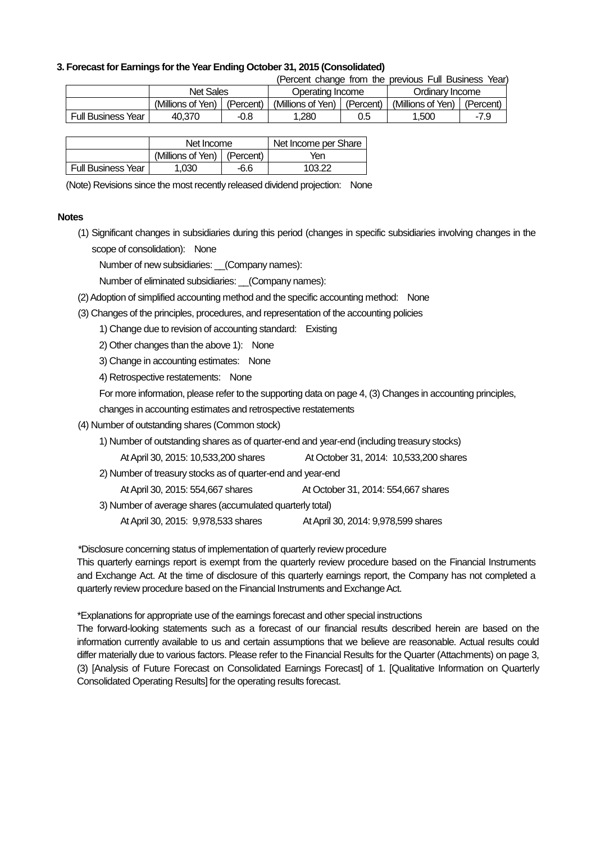### **3. Forecast for Earnings for the Year Ending October 31, 2015 (Consolidated)**

(Percent change from the previous Full Business Year)

|                    | <b>Net Sales</b>  |           |                   | Operating Income |                   | Ordinarv Income |  |
|--------------------|-------------------|-----------|-------------------|------------------|-------------------|-----------------|--|
|                    | (Millions of Yen) | (Percent) | (Millions of Yen) | (Percent)        | (Millions of Yen) | (Percent)       |  |
| Full Business Year | 40.370            | -0.8      | .280              | 0.5              | 1.500             | -7.9            |  |

|                           | Net Income                    |      | Net Income per Share |
|---------------------------|-------------------------------|------|----------------------|
|                           | (Millions of Yen)   (Percent) |      | Yen                  |
| <b>Full Business Year</b> | 1.030                         | -6.6 | 103.22               |

(Note) Revisions since the most recently released dividend projection: None

#### **Notes**

(1) Significant changes in subsidiaries during this period (changes in specific subsidiaries involving changes in the scope of consolidation): None

Number of new subsidiaries: \_\_(Company names):

Number of eliminated subsidiaries: (Company names):

- (2) Adoption of simplified accounting method and the specific accounting method: None
- (3) Changes of the principles, procedures, and representation of the accounting policies
	- 1) Change due to revision of accounting standard: Existing
	- 2) Other changes than the above 1): None
	- 3) Change in accounting estimates: None
	- 4) Retrospective restatements: None

For more information, please refer to the supporting data on page 4, (3) Changes in accounting principles,

changes in accounting estimates and retrospective restatements

- (4) Number of outstanding shares (Common stock)
	- 1) Number of outstanding shares as of quarter-end and year-end (including treasury stocks)

At April 30, 2015: 10,533,200 shares At October 31, 2014: 10,533,200 shares

2) Number of treasury stocks as of quarter-end and year-end

At April 30, 2015: 554,667 shares At October 31, 2014: 554,667 shares

- 3) Number of average shares (accumulated quarterly total)
	- At April 30, 2015: 9,978,533 shares At April 30, 2014: 9,978,599 shares

\*Disclosure concerning status of implementation of quarterly review procedure

This quarterly earnings report is exempt from the quarterly review procedure based on the Financial Instruments and Exchange Act. At the time of disclosure of this quarterly earnings report, the Company has not completed a quarterly review procedure based on the Financial Instruments and Exchange Act.

\*Explanations for appropriate use of the earnings forecast and other special instructions

The forward-looking statements such as a forecast of our financial results described herein are based on the information currently available to us and certain assumptions that we believe are reasonable. Actual results could differ materially due to various factors. Please refer to the Financial Results for the Quarter (Attachments) on page 3, (3) [Analysis of Future Forecast on Consolidated Earnings Forecast] of 1. [Qualitative Information on Quarterly Consolidated Operating Results] for the operating results forecast.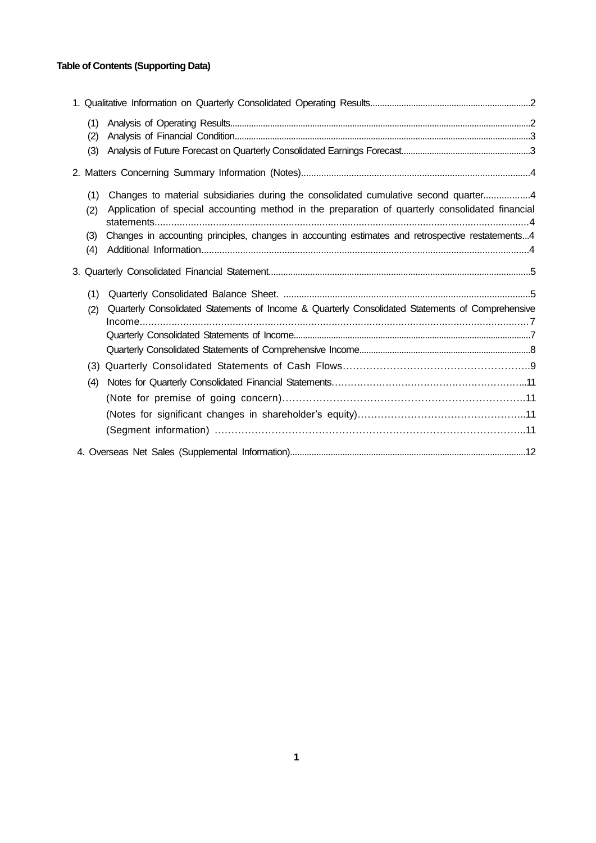## **Table of Contents (Supporting Data)**

| (1)<br>(2)               |                                                                                                                                                                                                                                                                                             |  |
|--------------------------|---------------------------------------------------------------------------------------------------------------------------------------------------------------------------------------------------------------------------------------------------------------------------------------------|--|
| (3)                      |                                                                                                                                                                                                                                                                                             |  |
|                          |                                                                                                                                                                                                                                                                                             |  |
| (1)<br>(2)<br>(3)<br>(4) | Changes to material subsidiaries during the consolidated cumulative second quarter4<br>Application of special accounting method in the preparation of quarterly consolidated financial<br>Changes in accounting principles, changes in accounting estimates and retrospective restatements4 |  |
|                          |                                                                                                                                                                                                                                                                                             |  |
| (1)                      |                                                                                                                                                                                                                                                                                             |  |
| (2)                      | Quarterly Consolidated Statements of Income & Quarterly Consolidated Statements of Comprehensive                                                                                                                                                                                            |  |
|                          |                                                                                                                                                                                                                                                                                             |  |
|                          |                                                                                                                                                                                                                                                                                             |  |
|                          |                                                                                                                                                                                                                                                                                             |  |
| (4)                      |                                                                                                                                                                                                                                                                                             |  |
|                          |                                                                                                                                                                                                                                                                                             |  |
|                          |                                                                                                                                                                                                                                                                                             |  |
|                          |                                                                                                                                                                                                                                                                                             |  |
|                          |                                                                                                                                                                                                                                                                                             |  |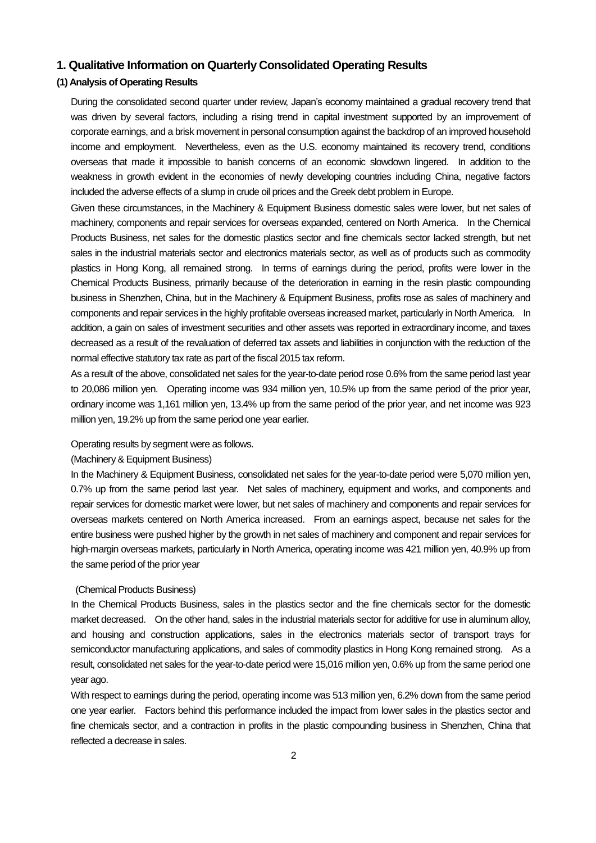## **1. Qualitative Information on Quarterly Consolidated Operating Results**

## **(1) Analysis of Operating Results**

During the consolidated second quarter under review, Japan's economy maintained a gradual recovery trend that was driven by several factors, including a rising trend in capital investment supported by an improvement of corporate earnings, and a brisk movement in personal consumption against the backdrop of an improved household income and employment. Nevertheless, even as the U.S. economy maintained its recovery trend, conditions overseas that made it impossible to banish concerns of an economic slowdown lingered. In addition to the weakness in growth evident in the economies of newly developing countries including China, negative factors included the adverse effects of a slump in crude oil prices and the Greek debt problem in Europe.

Given these circumstances, in the Machinery & Equipment Business domestic sales were lower, but net sales of machinery, components and repair services for overseas expanded, centered on North America. In the Chemical Products Business, net sales for the domestic plastics sector and fine chemicals sector lacked strength, but net sales in the industrial materials sector and electronics materials sector, as well as of products such as commodity plastics in Hong Kong, all remained strong. In terms of earnings during the period, profits were lower in the Chemical Products Business, primarily because of the deterioration in earning in the resin plastic compounding business in Shenzhen, China, but in the Machinery & Equipment Business, profits rose as sales of machinery and components and repair services in the highly profitable overseas increased market, particularly in North America. In addition, a gain on sales of investment securities and other assets was reported in extraordinary income, and taxes decreased as a result of the revaluation of deferred tax assets and liabilities in conjunction with the reduction of the normal effective statutory tax rate as part of the fiscal 2015 tax reform.

As a result of the above, consolidated net sales for the year-to-date period rose 0.6% from the same period last year to 20,086 million yen. Operating income was 934 million yen, 10.5% up from the same period of the prior year, ordinary income was 1,161 million yen, 13.4% up from the same period of the prior year, and net income was 923 million yen, 19.2% up from the same period one year earlier.

#### Operating results by segment were as follows.

### (Machinery & Equipment Business)

In the Machinery & Equipment Business, consolidated net sales for the year-to-date period were 5,070 million yen, 0.7% up from the same period last year. Net sales of machinery, equipment and works, and components and repair services for domestic market were lower, but net sales of machinery and components and repair services for overseas markets centered on North America increased. From an earnings aspect, because net sales for the entire business were pushed higher by the growth in net sales of machinery and component and repair services for high-margin overseas markets, particularly in North America, operating income was 421 million yen, 40.9% up from the same period of the prior year

#### (Chemical Products Business)

In the Chemical Products Business, sales in the plastics sector and the fine chemicals sector for the domestic market decreased. On the other hand, sales in the industrial materials sector for additive for use in aluminum alloy, and housing and construction applications, sales in the electronics materials sector of transport trays for semiconductor manufacturing applications, and sales of commodity plastics in Hong Kong remained strong. As a result, consolidated net sales for the year-to-date period were 15,016 million yen, 0.6% up from the same period one year ago.

With respect to earnings during the period, operating income was 513 million yen, 6.2% down from the same period one year earlier. Factors behind this performance included the impact from lower sales in the plastics sector and fine chemicals sector, and a contraction in profits in the plastic compounding business in Shenzhen, China that reflected a decrease in sales.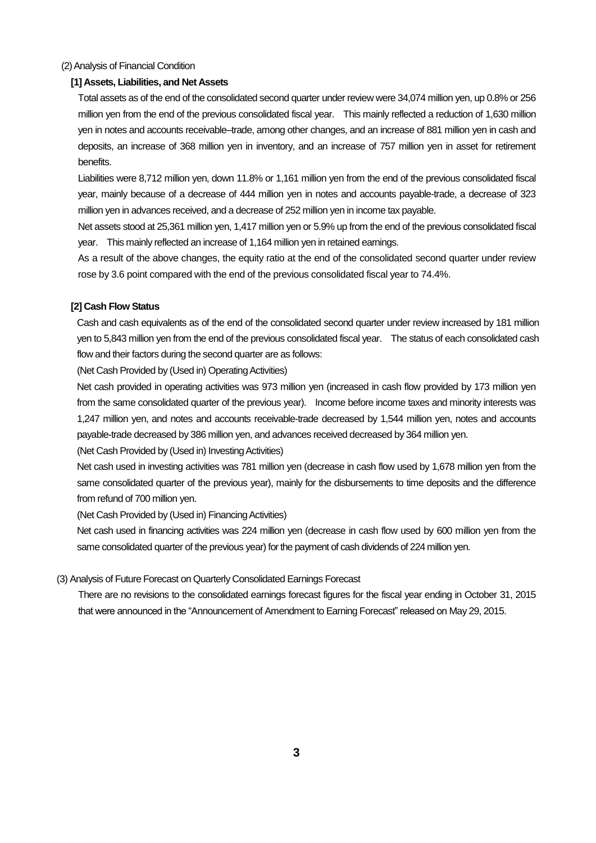#### (2) Analysis of Financial Condition

### **[1] Assets, Liabilities, and Net Assets**

Total assets as of the end of the consolidated second quarter under review were 34,074 million yen, up 0.8% or 256 million yen from the end of the previous consolidated fiscal year. This mainly reflected a reduction of 1,630 million yen in notes and accounts receivable–trade, among other changes, and an increase of 881 million yen in cash and deposits, an increase of 368 million yen in inventory, and an increase of 757 million yen in asset for retirement benefits.

Liabilities were 8,712 million yen, down 11.8% or 1,161 million yen from the end of the previous consolidated fiscal year, mainly because of a decrease of 444 million yen in notes and accounts payable-trade, a decrease of 323 million yen in advances received, and a decrease of 252 million yen in income tax payable.

Net assets stood at 25,361 million yen, 1,417 million yen or 5.9% up from the end of the previous consolidated fiscal year. This mainly reflected an increase of 1,164 million yen in retained earnings.

As a result of the above changes, the equity ratio at the end of the consolidated second quarter under review rose by 3.6 point compared with the end of the previous consolidated fiscal year to 74.4%.

#### **[2] Cash Flow Status**

Cash and cash equivalents as of the end of the consolidated second quarter under review increased by 181 million yen to 5,843 million yen from the end of the previous consolidated fiscal year. The status of each consolidated cash flow and their factors during the second quarter are as follows:

(Net Cash Provided by (Used in) Operating Activities)

Net cash provided in operating activities was 973 million yen (increased in cash flow provided by 173 million yen from the same consolidated quarter of the previous year). Income before income taxes and minority interests was 1,247 million yen, and notes and accounts receivable-trade decreased by 1,544 million yen, notes and accounts payable-trade decreased by 386 million yen, and advances received decreased by 364 million yen.

(Net Cash Provided by (Used in) Investing Activities)

Net cash used in investing activities was 781 million ven (decrease in cash flow used by 1.678 million ven from the same consolidated quarter of the previous year), mainly for the disbursements to time deposits and the difference from refund of 700 million yen.

(Net Cash Provided by (Used in) Financing Activities)

Net cash used in financing activities was 224 million yen (decrease in cash flow used by 600 million yen from the same consolidated quarter of the previous year) for the payment of cash dividends of 224 million yen.

#### (3) Analysis of Future Forecast on Quarterly Consolidated Earnings Forecast

There are no revisions to the consolidated earnings forecast figures for the fiscal year ending in October 31, 2015 that were announced in the "Announcement of Amendment to Earning Forecast" released on May 29, 2015.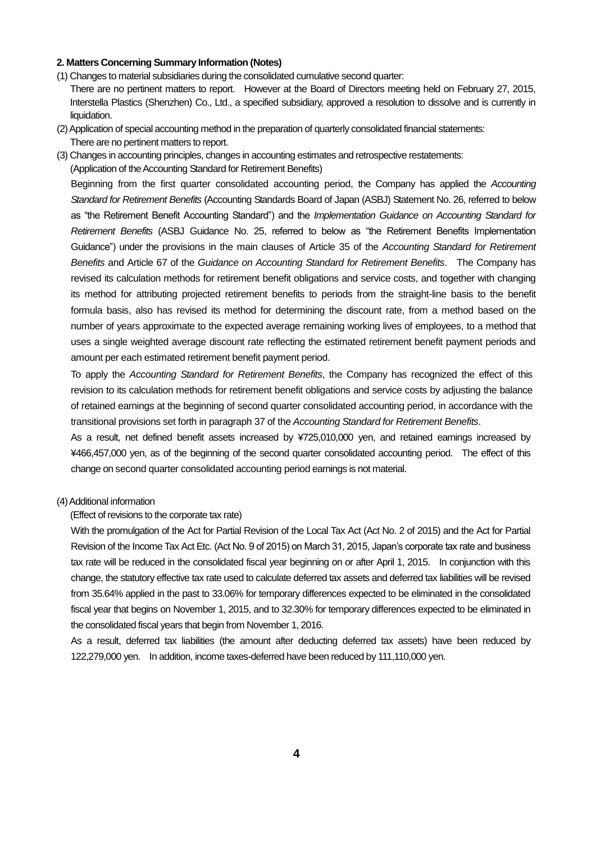#### **2. Matters Concerning Summary Information (Notes)**

- (1) Changes to material subsidiaries during the consolidated cumulative second quarter: There are no pertinent matters to report. However at the Board of Directors meeting held on February 27, 2015, Interstella Plastics (Shenzhen) Co., Ltd., a specified subsidiary, approved a resolution to dissolve and is currently in liquidation.
- (2) Application of special accounting method in the preparation of quarterly consolidated financial statements: There are no pertinent matters to report.
- (3) Changes in accounting principles, changes in accounting estimates and retrospective restatements: (Application of the Accounting Standard for Retirement Benefits)

Beginning from the first quarter consolidated accounting period, the Company has applied the *Accounting Standard for Retirement Benefits* (Accounting Standards Board of Japan (ASBJ) Statement No. 26, referred to below as "the Retirement Benefit Accounting Standard") and the *Implementation Guidance on Accounting Standard for Retirement Benefits* (ASBJ Guidance No. 25, referred to below as "the Retirement Benefits Implementation Guidance") under the provisions in the main clauses of Article 35 of the *Accounting Standard for Retirement Benefits* and Article 67 of the *Guidance on Accounting Standard for Retirement Benefits*. The Company has revised its calculation methods for retirement benefit obligations and service costs, and together with changing its method for attributing projected retirement benefits to periods from the straight-line basis to the benefit formula basis, also has revised its method for determining the discount rate, from a method based on the number of years approximate to the expected average remaining working lives of employees, to a method that uses a single weighted average discount rate reflecting the estimated retirement benefit payment periods and amount per each estimated retirement benefit payment period.

To apply the *Accounting Standard for Retirement Benefits*, the Company has recognized the effect of this revision to its calculation methods for retirement benefit obligations and service costs by adjusting the balance of retained earnings at the beginning of second quarter consolidated accounting period, in accordance with the transitional provisions set forth in paragraph 37 of the *Accounting Standard for Retirement Benefits*.

As a result, net defined benefit assets increased by ¥725,010,000 yen, and retained earnings increased by ¥466,457,000 yen, as of the beginning of the second quarter consolidated accounting period. The effect of this change on second quarter consolidated accounting period earnings is not material.

#### (4) Additional information

(Effect of revisions to the corporate tax rate)

With the promulgation of the Act for Partial Revision of the Local Tax Act (Act No. 2 of 2015) and the Act for Partial Revision of the Income Tax Act Etc. (Act No. 9 of 2015) on March 31, 2015, Japan's corporate tax rate and business tax rate will be reduced in the consolidated fiscal year beginning on or after April 1, 2015. In conjunction with this change, the statutory effective tax rate used to calculate deferred tax assets and deferred tax liabilities will be revised from 35.64% applied in the past to 33.06% for temporary differences expected to be eliminated in the consolidated fiscal year that begins on November 1, 2015, and to 32.30% for temporary differences expected to be eliminated in the consolidated fiscal years that begin from November 1, 2016.

As a result, deferred tax liabilities (the amount after deducting deferred tax assets) have been reduced by 122,279,000 yen. In addition, income taxes-deferred have been reduced by 111,110,000 yen.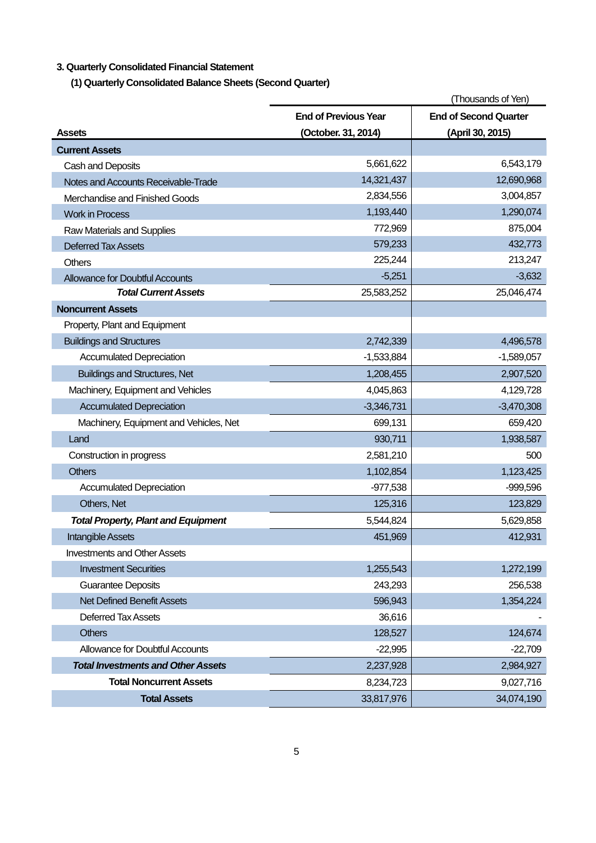## **3. Quarterly Consolidated Financial Statement**

**(1) Quarterly Consolidated Balance Sheets (Second Quarter)** 

|                                            |                             | (Thousands of Yen)           |
|--------------------------------------------|-----------------------------|------------------------------|
|                                            | <b>End of Previous Year</b> | <b>End of Second Quarter</b> |
| Assets                                     | (October. 31, 2014)         | (April 30, 2015)             |
| <b>Current Assets</b>                      |                             |                              |
| Cash and Deposits                          | 5,661,622                   | 6,543,179                    |
| Notes and Accounts Receivable-Trade        | 14,321,437                  | 12,690,968                   |
| Merchandise and Finished Goods             | 2,834,556                   | 3,004,857                    |
| <b>Work in Process</b>                     | 1,193,440                   | 1,290,074                    |
| Raw Materials and Supplies                 | 772,969                     | 875,004                      |
| <b>Deferred Tax Assets</b>                 | 579,233                     | 432,773                      |
| <b>Others</b>                              | 225,244                     | 213,247                      |
| <b>Allowance for Doubtful Accounts</b>     | $-5,251$                    | $-3,632$                     |
| <b>Total Current Assets</b>                | 25,583,252                  | 25,046,474                   |
| <b>Noncurrent Assets</b>                   |                             |                              |
| Property, Plant and Equipment              |                             |                              |
| <b>Buildings and Structures</b>            | 2,742,339                   | 4,496,578                    |
| <b>Accumulated Depreciation</b>            | $-1,533,884$                | $-1,589,057$                 |
| <b>Buildings and Structures, Net</b>       | 1,208,455                   | 2,907,520                    |
| Machinery, Equipment and Vehicles          | 4,045,863                   | 4,129,728                    |
| <b>Accumulated Depreciation</b>            | $-3,346,731$                | $-3,470,308$                 |
| Machinery, Equipment and Vehicles, Net     | 699,131                     | 659,420                      |
| Land                                       | 930,711                     | 1,938,587                    |
| Construction in progress                   | 2,581,210                   | 500                          |
| <b>Others</b>                              | 1,102,854                   | 1,123,425                    |
| <b>Accumulated Depreciation</b>            | $-977,538$                  | $-999,596$                   |
| Others, Net                                | 125,316                     | 123,829                      |
| <b>Total Property, Plant and Equipment</b> | 5,544,824                   | 5,629,858                    |
| Intangible Assets                          | 451,969                     | 412,931                      |
| <b>Investments and Other Assets</b>        |                             |                              |
| <b>Investment Securities</b>               | 1,255,543                   | 1,272,199                    |
| <b>Guarantee Deposits</b>                  | 243,293                     | 256,538                      |
| <b>Net Defined Benefit Assets</b>          | 596,943                     | 1,354,224                    |
| Deferred Tax Assets                        | 36,616                      |                              |
| <b>Others</b>                              | 128,527                     | 124,674                      |
| <b>Allowance for Doubtful Accounts</b>     | $-22,995$                   | $-22,709$                    |
| <b>Total Investments and Other Assets</b>  | 2,237,928                   | 2,984,927                    |
| <b>Total Noncurrent Assets</b>             | 8,234,723                   | 9,027,716                    |
| <b>Total Assets</b>                        | 33,817,976                  | 34,074,190                   |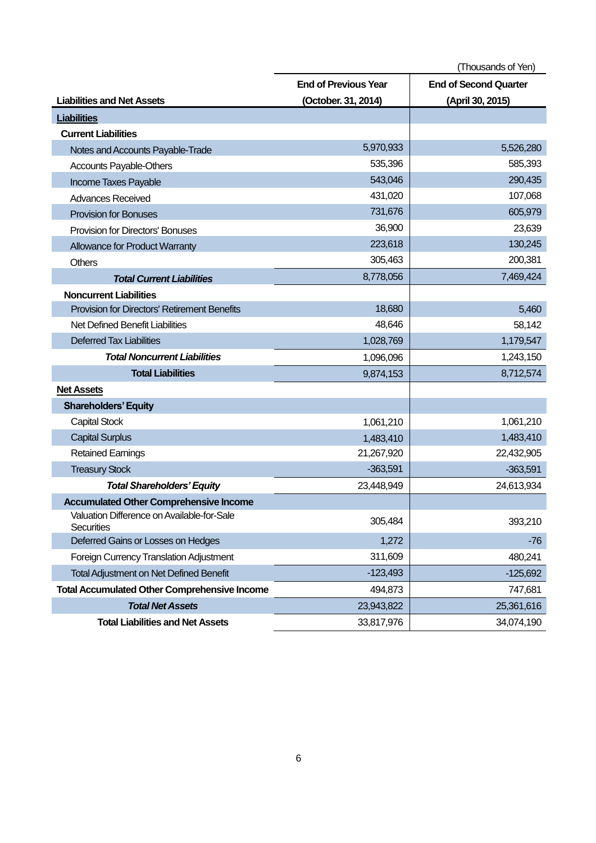(Thousands of Yen) **Liabilities and Net Assets End of Previous Year (October. 31, 2014) End of Second Quarter (April 30, 2015) Liabilities Current Liabilities** Notes and Accounts Payable-Trade 5,970,933 5,526,280 Accounts Payable-Others 635,396 Figure 535,396 Figure 535,396 Figure 585,393 Income Taxes Payable 643,046 290,435 Advances Received **431,020** 107,068 Provision for Bonuses 605,979 Provision for Directors' Bonuses 23,639 Allowance for Product Warranty 223,618 130,245 Others 200,381 **Total Current Liabilities** 8,778,056 7,469,424 **Noncurrent Liabilities** Provision for Directors' Retirement Benefits 18,680 | 18,680 | 18,680 | 19,5460 | 19,5460 | 19,5460 | 19,5460 | 19,5460 | 19,5460 | 19,5460 | 19,5460 | 19,5460 | 19,5460 | 19,5460 | 19,5460 | 19,5460 | 19,5460 | 19,5460 | Net Defined Benefit Liabilities 68,142 Deferred Tax Liabilities 1,028,769 1,028,769 1,179,547 **Total Noncurrent Liabilities** 1,096,096 1,096,096 1,243,150 **Total Liabilities** 8,712,574 **Net Assets Shareholders' Equity**  Capital Stock 1,061,210 1,061,210 Capital Surplus 1,483,410 1,483,410 1,483,410 1,483,410 1,483,410 1,483,410 1,483,410 1,483,410 1,483,410 1,483,410 Retained Earnings 21,267,920 22,432,905 Treasury Stock -363,591 -363,591 -363,591 -363,591 -363,591 -363,591 -363,591 -363,591 -363,591 -363,591 -363, **Total Shareholders' Equity** 23,448,949 23,448,949 24,613,934 **Accumulated Other Comprehensive Income** Valuation Difference on Available-for-Sale valuation Direferice on Available-for-Sale the control of the control of the control of the control of the securities 393,210 Deferred Gains or Losses on Hedges 1,272 - 1,272 - 1,272 - 1,272 - 1,276 - 1,276 - 1,276 - 1,276 - 1,272 - 1,276 Foreign Currency Translation Adjustment 311,609 480,241 Total Adjustment on Net Defined Benefit -123,493 -123,493 -125,692 **Total Accumulated Other Comprehensive Income** 494,873 | The mass of the total and the total and the total and the total and the total and the total and the total and the total and the total and the total and the total and **Total Net Assets** 23,943,822 25,361,616 **Total Liabilities and Net Assets** 33,817,976 33,817,976 34,074,190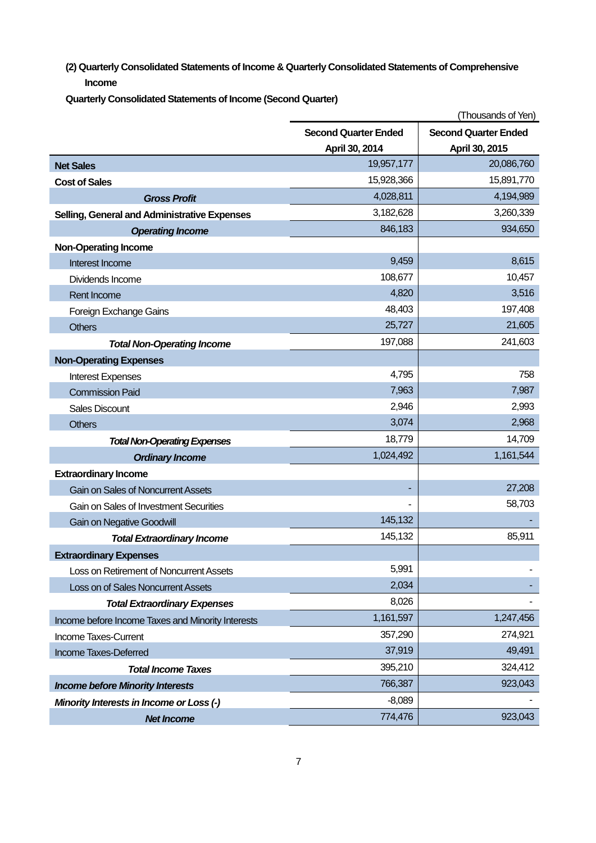**(2) Quarterly Consolidated Statements of Income & Quarterly Consolidated Statements of Comprehensive Income**

**Quarterly Consolidated Statements of Income (Second Quarter)** 

|                                                   |                             | (Thousands of Yen)          |
|---------------------------------------------------|-----------------------------|-----------------------------|
|                                                   | <b>Second Quarter Ended</b> | <b>Second Quarter Ended</b> |
|                                                   | April 30, 2014              | April 30, 2015              |
| <b>Net Sales</b>                                  | 19,957,177                  | 20,086,760                  |
| <b>Cost of Sales</b>                              | 15,928,366                  | 15,891,770                  |
| <b>Gross Profit</b>                               | 4,028,811                   | 4,194,989                   |
| Selling, General and Administrative Expenses      | 3,182,628                   | 3,260,339                   |
| <b>Operating Income</b>                           | 846,183                     | 934,650                     |
| <b>Non-Operating Income</b>                       |                             |                             |
| Interest Income                                   | 9,459                       | 8,615                       |
| Dividends Income                                  | 108,677                     | 10,457                      |
| Rent Income                                       | 4,820                       | 3,516                       |
| Foreign Exchange Gains                            | 48,403                      | 197,408                     |
| <b>Others</b>                                     | 25,727                      | 21,605                      |
| <b>Total Non-Operating Income</b>                 | 197,088                     | 241,603                     |
| <b>Non-Operating Expenses</b>                     |                             |                             |
| <b>Interest Expenses</b>                          | 4,795                       | 758                         |
| <b>Commission Paid</b>                            | 7,963                       | 7,987                       |
| <b>Sales Discount</b>                             | 2,946                       | 2,993                       |
| <b>Others</b>                                     | 3,074                       | 2,968                       |
| <b>Total Non-Operating Expenses</b>               | 18,779                      | 14,709                      |
| <b>Ordinary Income</b>                            | 1,024,492                   | 1,161,544                   |
| <b>Extraordinary Income</b>                       |                             |                             |
| Gain on Sales of Noncurrent Assets                |                             | 27,208                      |
| Gain on Sales of Investment Securities            |                             | 58,703                      |
| <b>Gain on Negative Goodwill</b>                  | 145,132                     |                             |
| <b>Total Extraordinary Income</b>                 | 145,132                     | 85,911                      |
| <b>Extraordinary Expenses</b>                     |                             |                             |
| Loss on Retirement of Noncurrent Assets           | 5,991                       |                             |
| Loss on of Sales Noncurrent Assets                | 2,034                       |                             |
| <b>Total Extraordinary Expenses</b>               | 8,026                       |                             |
| Income before Income Taxes and Minority Interests | 1,161,597                   | 1,247,456                   |
| Income Taxes-Current                              | 357,290                     | 274,921                     |
| Income Taxes-Deferred                             | 37,919                      | 49,491                      |
| <b>Total Income Taxes</b>                         | 395,210                     | 324,412                     |
| <b>Income before Minority Interests</b>           | 766,387                     | 923,043                     |
| Minority Interests in Income or Loss (-)          | $-8,089$                    |                             |
| <b>Net Income</b>                                 | 774,476                     | 923,043                     |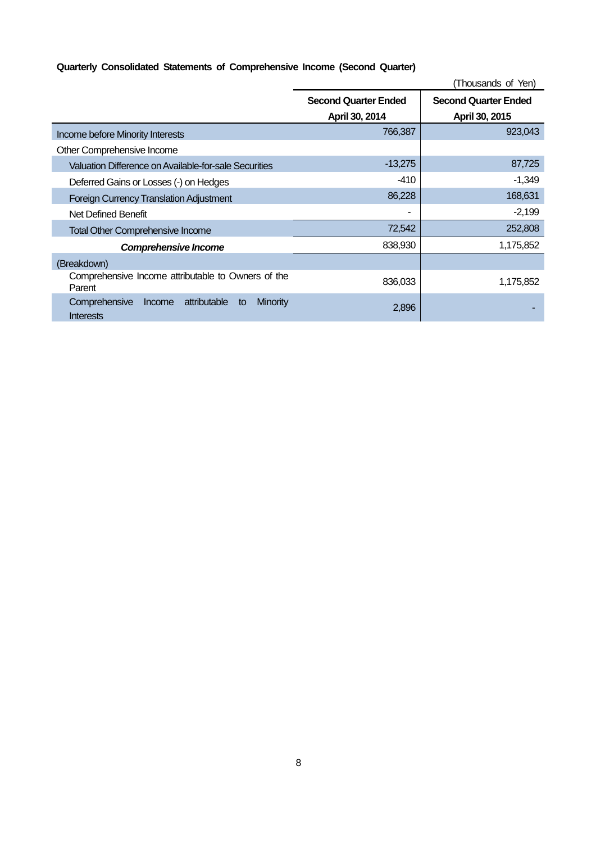## **Quarterly Consolidated Statements of Comprehensive Income (Second Quarter)**

|                                                                                      |                                               | (Thousands of Yen)                            |
|--------------------------------------------------------------------------------------|-----------------------------------------------|-----------------------------------------------|
|                                                                                      | <b>Second Quarter Ended</b><br>April 30, 2014 | <b>Second Quarter Ended</b><br>April 30, 2015 |
|                                                                                      | 766,387                                       | 923,043                                       |
| Income before Minority Interests                                                     |                                               |                                               |
| Other Comprehensive Income                                                           |                                               |                                               |
| Valuation Difference on Available-for-sale Securities                                | $-13,275$                                     | 87,725                                        |
| Deferred Gains or Losses (-) on Hedges                                               | -410                                          | $-1,349$                                      |
| <b>Foreign Currency Translation Adjustment</b>                                       | 86,228                                        | 168,631                                       |
| Net Defined Benefit                                                                  | ۰                                             | $-2,199$                                      |
| <b>Total Other Comprehensive Income</b>                                              | 72,542                                        | 252,808                                       |
| Comprehensive Income                                                                 | 838,930                                       | 1,175,852                                     |
| (Breakdown)                                                                          |                                               |                                               |
| Comprehensive Income attributable to Owners of the<br>Parent                         | 836,033                                       | 1,175,852                                     |
| attributable<br>Comprehensive<br><b>Minority</b><br>Income<br>to<br><b>Interests</b> | 2,896                                         |                                               |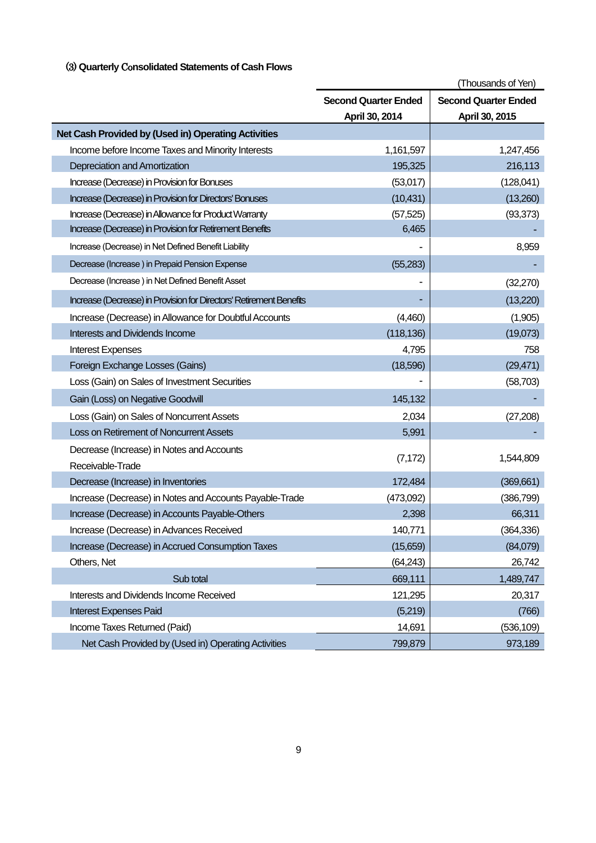## (3) **Quarterly** Co**nsolidated Statements of Cash Flows**

|                                                                     |                             | (Thousands of Yen)          |
|---------------------------------------------------------------------|-----------------------------|-----------------------------|
|                                                                     | <b>Second Quarter Ended</b> | <b>Second Quarter Ended</b> |
|                                                                     | April 30, 2014              | April 30, 2015              |
| Net Cash Provided by (Used in) Operating Activities                 |                             |                             |
| Income before Income Taxes and Minority Interests                   | 1,161,597                   | 1,247,456                   |
| Depreciation and Amortization                                       | 195,325                     | 216,113                     |
| Increase (Decrease) in Provision for Bonuses                        | (53,017)                    | (128,041)                   |
| Increase (Decrease) in Provision for Directors' Bonuses             | (10, 431)                   | (13,260)                    |
| Increase (Decrease) in Allowance for Product Warranty               | (57, 525)                   | (93, 373)                   |
| Increase (Decrease) in Provision for Retirement Benefits            | 6,465                       |                             |
| Increase (Decrease) in Net Defined Benefit Liability                |                             | 8,959                       |
| Decrease (Increase) in Prepaid Pension Expense                      | (55, 283)                   |                             |
| Decrease (Increase) in Net Defined Benefit Asset                    |                             | (32, 270)                   |
| Increase (Decrease) in Provision for Directors' Retirement Benefits |                             | (13,220)                    |
| Increase (Decrease) in Allowance for Doubtful Accounts              | (4,460)                     | (1,905)                     |
| <b>Interests and Dividends Income</b>                               | (118, 136)                  | (19,073)                    |
| <b>Interest Expenses</b>                                            | 4,795                       | 758                         |
| Foreign Exchange Losses (Gains)                                     | (18,596)                    | (29, 471)                   |
| Loss (Gain) on Sales of Investment Securities                       |                             | (58, 703)                   |
| Gain (Loss) on Negative Goodwill                                    | 145,132                     |                             |
| Loss (Gain) on Sales of Noncurrent Assets                           | 2,034                       | (27, 208)                   |
| Loss on Retirement of Noncurrent Assets                             | 5,991                       |                             |
| Decrease (Increase) in Notes and Accounts                           |                             |                             |
| Receivable-Trade                                                    | (7, 172)                    | 1,544,809                   |
| Decrease (Increase) in Inventories                                  | 172,484                     | (369, 661)                  |
| Increase (Decrease) in Notes and Accounts Payable-Trade             | (473,092)                   | (386, 799)                  |
| Increase (Decrease) in Accounts Payable-Others                      | 2,398                       | 66,311                      |
| Increase (Decrease) in Advances Received                            | 140,771                     | (364, 336)                  |
| Increase (Decrease) in Accrued Consumption Taxes                    | (15,659)                    | (84,079)                    |
| Others, Net                                                         | (64, 243)                   | 26,742                      |
| Sub total                                                           | 669,111                     | 1,489,747                   |
| Interests and Dividends Income Received                             | 121,295                     | 20,317                      |
| <b>Interest Expenses Paid</b>                                       | (5,219)                     | (766)                       |
| Income Taxes Returned (Paid)                                        | 14,691                      | (536, 109)                  |
| Net Cash Provided by (Used in) Operating Activities                 | 799,879                     | 973,189                     |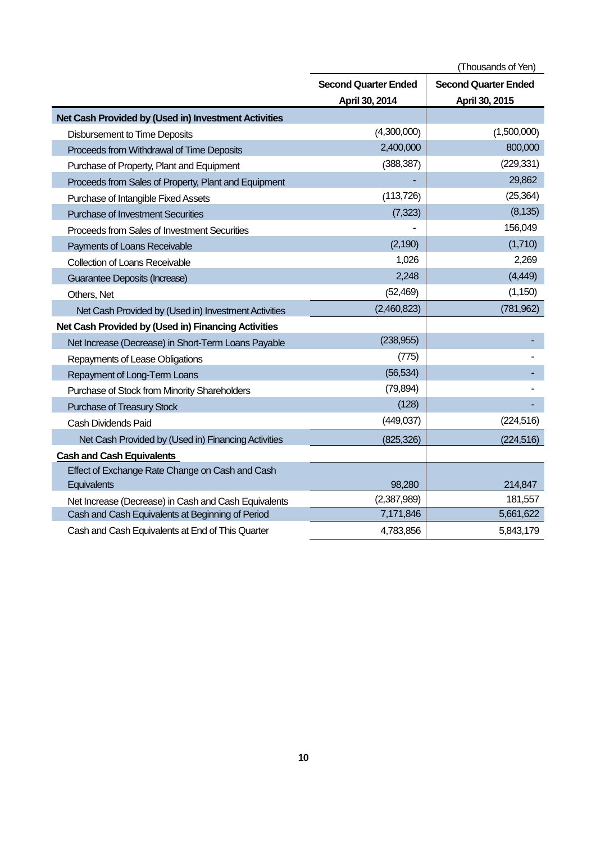|                                                      | (Thousands of Yen)                                         |                |  |
|------------------------------------------------------|------------------------------------------------------------|----------------|--|
|                                                      | <b>Second Quarter Ended</b><br><b>Second Quarter Ended</b> |                |  |
|                                                      | April 30, 2014                                             | April 30, 2015 |  |
| Net Cash Provided by (Used in) Investment Activities |                                                            |                |  |
| <b>Disbursement to Time Deposits</b>                 | (4,300,000)                                                | (1,500,000)    |  |
| Proceeds from Withdrawal of Time Deposits            | 2,400,000                                                  | 800,000        |  |
| Purchase of Property, Plant and Equipment            | (388, 387)                                                 | (229, 331)     |  |
| Proceeds from Sales of Property, Plant and Equipment |                                                            | 29,862         |  |
| Purchase of Intangible Fixed Assets                  | (113, 726)                                                 | (25, 364)      |  |
| <b>Purchase of Investment Securities</b>             | (7, 323)                                                   | (8, 135)       |  |
| Proceeds from Sales of Investment Securities         |                                                            | 156,049        |  |
| Payments of Loans Receivable                         | (2, 190)                                                   | (1,710)        |  |
| <b>Collection of Loans Receivable</b>                | 1,026                                                      | 2,269          |  |
| Guarantee Deposits (Increase)                        | 2,248                                                      | (4, 449)       |  |
| Others, Net                                          | (52, 469)                                                  | (1, 150)       |  |
| Net Cash Provided by (Used in) Investment Activities | (2,460,823)                                                | (781, 962)     |  |
| Net Cash Provided by (Used in) Financing Activities  |                                                            |                |  |
| Net Increase (Decrease) in Short-Term Loans Payable  | (238, 955)                                                 |                |  |
| Repayments of Lease Obligations                      | (775)                                                      |                |  |
| Repayment of Long-Term Loans                         | (56, 534)                                                  |                |  |
| Purchase of Stock from Minority Shareholders         | (79, 894)                                                  |                |  |
| Purchase of Treasury Stock                           | (128)                                                      |                |  |
| Cash Dividends Paid                                  | (449, 037)                                                 | (224, 516)     |  |
| Net Cash Provided by (Used in) Financing Activities  | (825, 326)                                                 | (224, 516)     |  |
| <b>Cash and Cash Equivalents</b>                     |                                                            |                |  |
| Effect of Exchange Rate Change on Cash and Cash      |                                                            |                |  |
| Equivalents                                          | 98,280                                                     | 214,847        |  |
| Net Increase (Decrease) in Cash and Cash Equivalents | (2,387,989)                                                | 181,557        |  |
| Cash and Cash Equivalents at Beginning of Period     | 7,171,846                                                  | 5,661,622      |  |
| Cash and Cash Equivalents at End of This Quarter     | 4,783,856                                                  | 5,843,179      |  |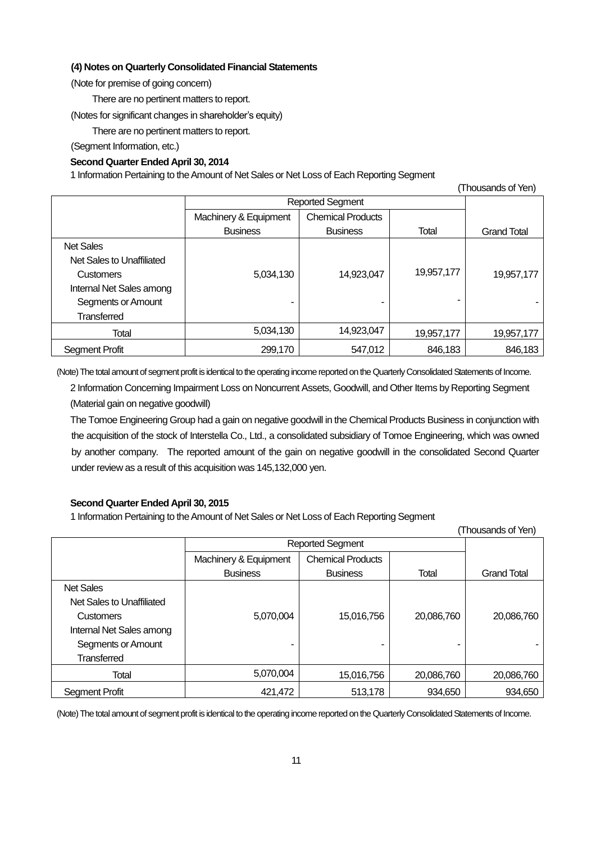### **(4) Notes on Quarterly Consolidated Financial Statements**

(Note for premise of going concern)

There are no pertinent matters to report.

(Notes for significant changes in shareholder's equity)

There are no pertinent matters to report.

(Segment Information, etc.)

## **Second Quarter Ended April 30, 2014**

1 Information Pertaining to the Amount of Net Sales or Net Loss of Each Reporting Segment

| $1110$ uda Ilud UI Turi   |                         |                          |            |                    |
|---------------------------|-------------------------|--------------------------|------------|--------------------|
|                           | <b>Reported Segment</b> |                          |            |                    |
|                           | Machinery & Equipment   | <b>Chemical Products</b> |            |                    |
|                           | <b>Business</b>         | <b>Business</b>          | Total      | <b>Grand Total</b> |
| <b>Net Sales</b>          |                         |                          |            |                    |
| Net Sales to Unaffiliated |                         |                          |            |                    |
| <b>Customers</b>          | 5,034,130               | 14,923,047               | 19,957,177 | 19,957,177         |
| Internal Net Sales among  |                         |                          |            |                    |
| Segments or Amount        |                         |                          | -          |                    |
| <b>Transferred</b>        |                         |                          |            |                    |
| Total                     | 5,034,130               | 14,923,047               | 19,957,177 | 19,957,177         |
| Segment Profit            | 299,170                 | 547,012                  | 846,183    | 846,183            |

(Thousands of Yen)

(Note) The total amount of segment profit is identical to the operating income reported on the QuarterlyConsolidated Statements of Income.

2 Information Concerning Impairment Loss on Noncurrent Assets, Goodwill, and Other Items by Reporting Segment (Material gain on negative goodwill)

The Tomoe Engineering Group had a gain on negative goodwill in the Chemical Products Business in conjunction with the acquisition of the stock of Interstella Co., Ltd., a consolidated subsidiary of Tomoe Engineering, which was owned by another company. The reported amount of the gain on negative goodwill in the consolidated Second Quarter under review as a result of this acquisition was 145,132,000 yen.

## **Second Quarter Ended April 30, 2015**

1 Information Pertaining to the Amount of Net Sales or Net Loss of Each Reporting Segment

| (Thousands of Yen)        |                         |                          |            |                    |
|---------------------------|-------------------------|--------------------------|------------|--------------------|
|                           | <b>Reported Segment</b> |                          |            |                    |
|                           | Machinery & Equipment   | <b>Chemical Products</b> |            |                    |
|                           | <b>Business</b>         | <b>Business</b>          | Total      | <b>Grand Total</b> |
| <b>Net Sales</b>          |                         |                          |            |                    |
| Net Sales to Unaffiliated |                         |                          |            |                    |
| <b>Customers</b>          | 5,070,004               | 15,016,756               | 20,086,760 | 20,086,760         |
| Internal Net Sales among  |                         |                          |            |                    |
| Segments or Amount        |                         |                          |            |                    |
| <b>Transferred</b>        |                         |                          |            |                    |
| Total                     | 5,070,004               | 15,016,756               | 20,086,760 | 20,086,760         |
| Segment Profit            | 421.472                 | 513,178                  | 934.650    | 934.650            |

(Note) The total amount of segment profit is identical to the operating income reported on the QuarterlyConsolidated Statements of Income.